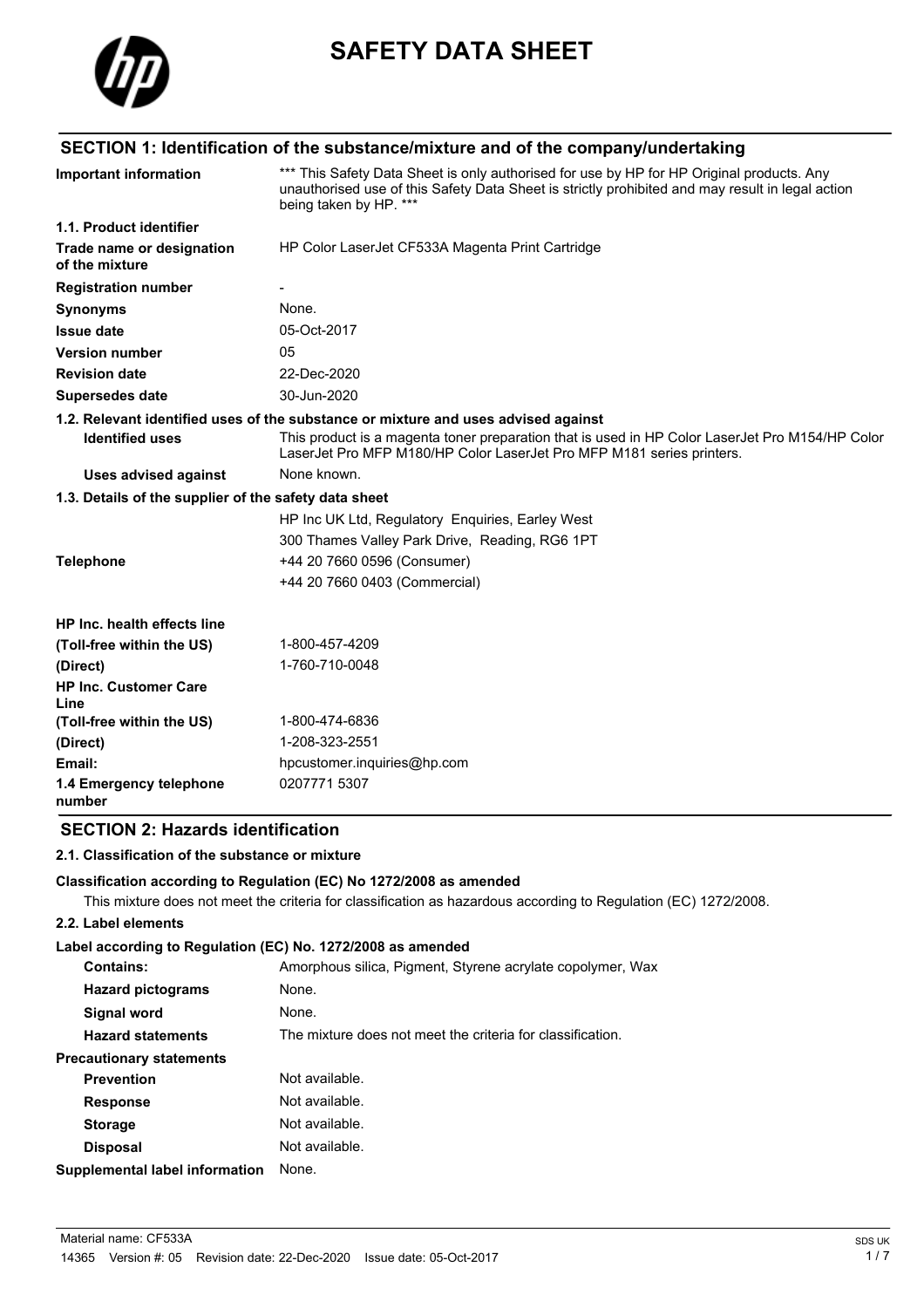

# **SAFETY DATA SHEET**

### **SECTION 1: Identification of the substance/mixture and of the company/undertaking**

| <b>Important information</b>                          | *** This Safety Data Sheet is only authorised for use by HP for HP Original products. Any<br>unauthorised use of this Safety Data Sheet is strictly prohibited and may result in legal action<br>being taken by HP. *** |
|-------------------------------------------------------|-------------------------------------------------------------------------------------------------------------------------------------------------------------------------------------------------------------------------|
| 1.1. Product identifier                               |                                                                                                                                                                                                                         |
| Trade name or designation<br>of the mixture           | HP Color LaserJet CF533A Magenta Print Cartridge                                                                                                                                                                        |
| <b>Registration number</b>                            |                                                                                                                                                                                                                         |
| <b>Synonyms</b>                                       | None.                                                                                                                                                                                                                   |
| <b>Issue date</b>                                     | 05-Oct-2017                                                                                                                                                                                                             |
| <b>Version number</b>                                 | 05                                                                                                                                                                                                                      |
| <b>Revision date</b>                                  | 22-Dec-2020                                                                                                                                                                                                             |
| <b>Supersedes date</b>                                | 30-Jun-2020                                                                                                                                                                                                             |
|                                                       | 1.2. Relevant identified uses of the substance or mixture and uses advised against                                                                                                                                      |
| <b>Identified uses</b>                                | This product is a magenta toner preparation that is used in HP Color LaserJet Pro M154/HP Color<br>LaserJet Pro MFP M180/HP Color LaserJet Pro MFP M181 series printers.                                                |
| <b>Uses advised against</b>                           | None known.                                                                                                                                                                                                             |
| 1.3. Details of the supplier of the safety data sheet |                                                                                                                                                                                                                         |
|                                                       | HP Inc UK Ltd, Regulatory Enquiries, Earley West                                                                                                                                                                        |
|                                                       | 300 Thames Valley Park Drive, Reading, RG6 1PT                                                                                                                                                                          |
| <b>Telephone</b>                                      | +44 20 7660 0596 (Consumer)                                                                                                                                                                                             |
|                                                       | +44 20 7660 0403 (Commercial)                                                                                                                                                                                           |
| HP Inc. health effects line                           |                                                                                                                                                                                                                         |
| (Toll-free within the US)                             | 1-800-457-4209                                                                                                                                                                                                          |
| (Direct)                                              | 1-760-710-0048                                                                                                                                                                                                          |
| <b>HP Inc. Customer Care</b><br>Line                  |                                                                                                                                                                                                                         |
| (Toll-free within the US)                             | 1-800-474-6836                                                                                                                                                                                                          |
| (Direct)                                              | 1-208-323-2551                                                                                                                                                                                                          |
| Email:                                                | hpcustomer.inquiries@hp.com                                                                                                                                                                                             |
| 1.4 Emergency telephone<br>number                     | 0207771 5307                                                                                                                                                                                                            |

### **SECTION 2: Hazards identification**

#### **2.1. Classification of the substance or mixture**

#### **Classification according to Regulation (EC) No 1272/2008 as amended**

This mixture does not meet the criteria for classification as hazardous according to Regulation (EC) 1272/2008.

### **2.2. Label elements**

### **Label according to Regulation (EC) No. 1272/2008 as amended**

| <b>Contains:</b>                      | Amorphous silica, Pigment, Styrene acrylate copolymer, Wax |
|---------------------------------------|------------------------------------------------------------|
| <b>Hazard pictograms</b>              | None.                                                      |
| Signal word                           | None.                                                      |
| <b>Hazard statements</b>              | The mixture does not meet the criteria for classification. |
| <b>Precautionary statements</b>       |                                                            |
| <b>Prevention</b>                     | Not available.                                             |
| <b>Response</b>                       | Not available.                                             |
| <b>Storage</b>                        | Not available.                                             |
| <b>Disposal</b>                       | Not available.                                             |
| <b>Supplemental label information</b> | None.                                                      |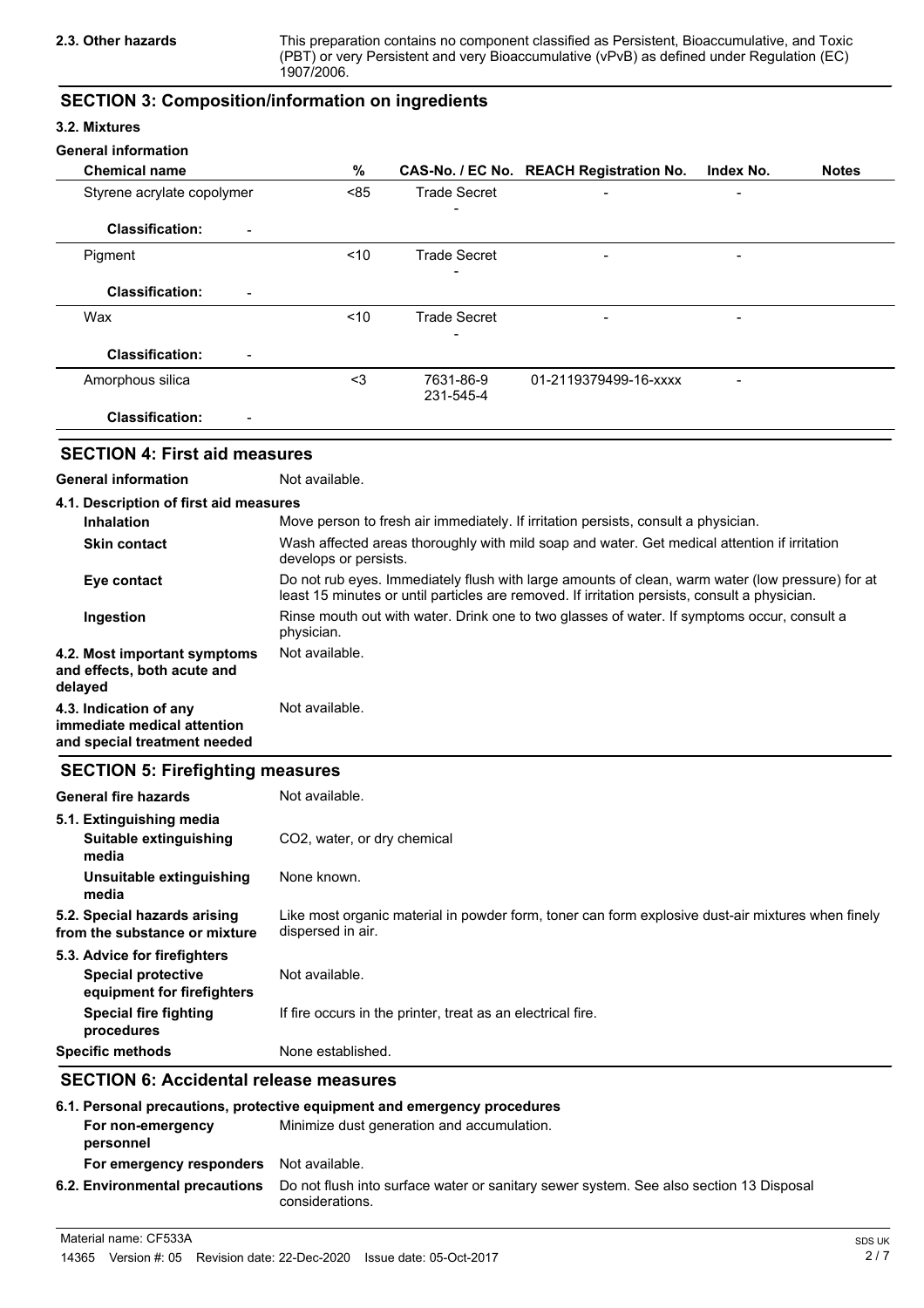This preparation contains no component classified as Persistent, Bioaccumulative, and Toxic (PBT) or very Persistent and very Bioaccumulative (vPvB) as defined under Regulation (EC) 1907/2006.

### **SECTION 3: Composition/information on ingredients**

### **3.2. Mixtures**

| <b>General information</b>                                                              |                                                                                                                                                                                                   |                                                             |                                                                                                   |           |              |
|-----------------------------------------------------------------------------------------|---------------------------------------------------------------------------------------------------------------------------------------------------------------------------------------------------|-------------------------------------------------------------|---------------------------------------------------------------------------------------------------|-----------|--------------|
| <b>Chemical name</b>                                                                    | $\%$                                                                                                                                                                                              |                                                             | CAS-No. / EC No. REACH Registration No.                                                           | Index No. | <b>Notes</b> |
| Styrene acrylate copolymer                                                              | < 85                                                                                                                                                                                              | <b>Trade Secret</b>                                         |                                                                                                   |           |              |
| <b>Classification:</b>                                                                  |                                                                                                                                                                                                   |                                                             |                                                                                                   |           |              |
| Pigment                                                                                 | < 10                                                                                                                                                                                              | <b>Trade Secret</b>                                         |                                                                                                   |           |              |
| <b>Classification:</b>                                                                  |                                                                                                                                                                                                   |                                                             |                                                                                                   |           |              |
| Wax                                                                                     | <10                                                                                                                                                                                               | <b>Trade Secret</b>                                         |                                                                                                   |           |              |
| <b>Classification:</b>                                                                  |                                                                                                                                                                                                   |                                                             |                                                                                                   |           |              |
| Amorphous silica                                                                        | $3$                                                                                                                                                                                               | 7631-86-9<br>231-545-4                                      | 01-2119379499-16-xxxx                                                                             |           |              |
| <b>Classification:</b>                                                                  |                                                                                                                                                                                                   |                                                             |                                                                                                   |           |              |
| <b>SECTION 4: First aid measures</b>                                                    |                                                                                                                                                                                                   |                                                             |                                                                                                   |           |              |
| <b>General information</b>                                                              | Not available.                                                                                                                                                                                    |                                                             |                                                                                                   |           |              |
| 4.1. Description of first aid measures                                                  |                                                                                                                                                                                                   |                                                             |                                                                                                   |           |              |
| <b>Inhalation</b>                                                                       |                                                                                                                                                                                                   |                                                             | Move person to fresh air immediately. If irritation persists, consult a physician.                |           |              |
| <b>Skin contact</b>                                                                     | Wash affected areas thoroughly with mild soap and water. Get medical attention if irritation<br>develops or persists.                                                                             |                                                             |                                                                                                   |           |              |
| Eye contact                                                                             | Do not rub eyes. Immediately flush with large amounts of clean, warm water (low pressure) for at<br>least 15 minutes or until particles are removed. If irritation persists, consult a physician. |                                                             |                                                                                                   |           |              |
| Ingestion                                                                               | physician.                                                                                                                                                                                        |                                                             | Rinse mouth out with water. Drink one to two glasses of water. If symptoms occur, consult a       |           |              |
| 4.2. Most important symptoms<br>and effects, both acute and<br>delayed                  | Not available.                                                                                                                                                                                    |                                                             |                                                                                                   |           |              |
| 4.3. Indication of any<br>immediate medical attention<br>and special treatment needed   | Not available.                                                                                                                                                                                    |                                                             |                                                                                                   |           |              |
| <b>SECTION 5: Firefighting measures</b>                                                 |                                                                                                                                                                                                   |                                                             |                                                                                                   |           |              |
| <b>General fire hazards</b>                                                             | Not available.                                                                                                                                                                                    |                                                             |                                                                                                   |           |              |
| 5.1. Extinguishing media<br>Suitable extinguishing<br>media                             | CO2, water, or dry chemical                                                                                                                                                                       |                                                             |                                                                                                   |           |              |
| Unsuitable extinguishing<br>media                                                       | None known.                                                                                                                                                                                       |                                                             |                                                                                                   |           |              |
| 5.2. Special hazards arising<br>from the substance or mixture                           | dispersed in air.                                                                                                                                                                                 |                                                             | Like most organic material in powder form, toner can form explosive dust-air mixtures when finely |           |              |
| 5.3. Advice for firefighters<br><b>Special protective</b><br>equipment for firefighters | Not available.                                                                                                                                                                                    |                                                             |                                                                                                   |           |              |
| <b>Special fire fighting</b><br>procedures                                              |                                                                                                                                                                                                   | If fire occurs in the printer, treat as an electrical fire. |                                                                                                   |           |              |
| <b>Specific methods</b>                                                                 | None established.                                                                                                                                                                                 |                                                             |                                                                                                   |           |              |

### **SECTION 6: Accidental release measures**

|                                | 6.1. Personal precautions, protective equipment and emergency procedures                                  |
|--------------------------------|-----------------------------------------------------------------------------------------------------------|
| For non-emergency<br>personnel | Minimize dust generation and accumulation.                                                                |
| For emergency responders       | Not available.                                                                                            |
| 6.2. Environmental precautions | Do not flush into surface water or sanitary sewer system. See also section 13 Disposal<br>considerations. |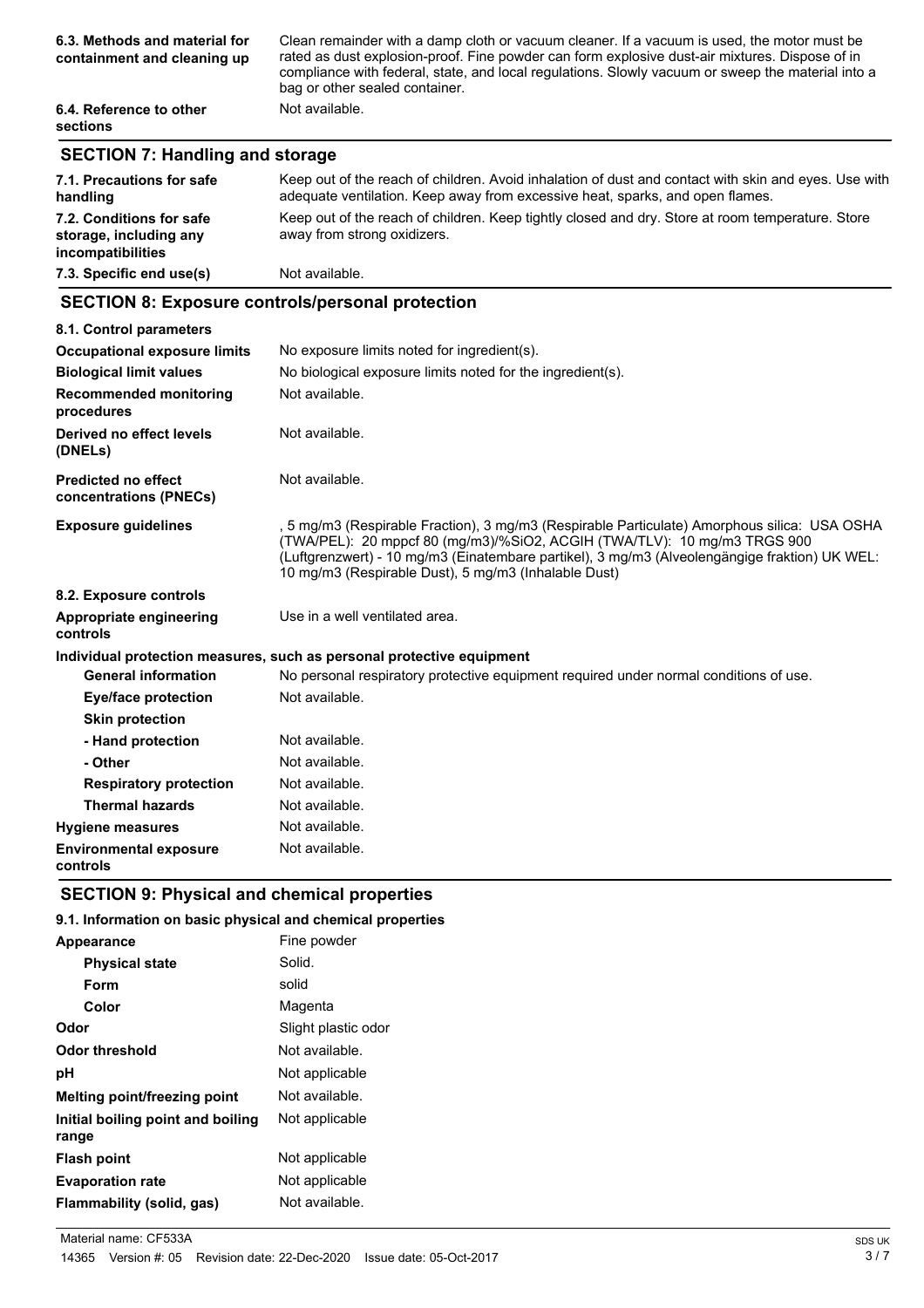| 6.3. Methods and material for<br>containment and cleaning up | Clean remainder with a damp cloth or vacuum cleaner. If a vacuum is used, the motor must be<br>rated as dust explosion-proof. Fine powder can form explosive dust-air mixtures. Dispose of in<br>compliance with federal, state, and local regulations. Slowly vacuum or sweep the material into a<br>bag or other sealed container. |
|--------------------------------------------------------------|--------------------------------------------------------------------------------------------------------------------------------------------------------------------------------------------------------------------------------------------------------------------------------------------------------------------------------------|
| 6.4. Reference to other<br><b>sections</b>                   | Not available.                                                                                                                                                                                                                                                                                                                       |

### **SECTION 7: Handling and storage**

| 7.1. Precautions for safe<br>handling                                   | Keep out of the reach of children. Avoid inhalation of dust and contact with skin and eyes. Use with<br>adequate ventilation. Keep away from excessive heat, sparks, and open flames. |
|-------------------------------------------------------------------------|---------------------------------------------------------------------------------------------------------------------------------------------------------------------------------------|
| 7.2. Conditions for safe<br>storage, including any<br>incompatibilities | Keep out of the reach of children. Keep tightly closed and dry. Store at room temperature. Store<br>away from strong oxidizers.                                                       |
| 7.3. Specific end use(s)                                                | Not available.                                                                                                                                                                        |

### **SECTION 8: Exposure controls/personal protection**

| 8.1. Control parameters                              |                                                                                                                                                                                                                                                                                                                                   |
|------------------------------------------------------|-----------------------------------------------------------------------------------------------------------------------------------------------------------------------------------------------------------------------------------------------------------------------------------------------------------------------------------|
| <b>Occupational exposure limits</b>                  | No exposure limits noted for ingredient(s).                                                                                                                                                                                                                                                                                       |
| <b>Biological limit values</b>                       | No biological exposure limits noted for the ingredient(s).                                                                                                                                                                                                                                                                        |
| <b>Recommended monitoring</b><br>procedures          | Not available.                                                                                                                                                                                                                                                                                                                    |
| Derived no effect levels<br>(DNELs)                  | Not available.                                                                                                                                                                                                                                                                                                                    |
| <b>Predicted no effect</b><br>concentrations (PNECs) | Not available.                                                                                                                                                                                                                                                                                                                    |
| <b>Exposure guidelines</b>                           | , 5 mg/m3 (Respirable Fraction), 3 mg/m3 (Respirable Particulate) Amorphous silica: USA OSHA<br>(TWA/PEL): 20 mppcf 80 (mg/m3)/%SiO2, ACGIH (TWA/TLV): 10 mg/m3 TRGS 900<br>(Luftgrenzwert) - 10 mg/m3 (Einatembare partikel), 3 mg/m3 (Alveolengängige fraktion) UK WEL:<br>10 mg/m3 (Respirable Dust), 5 mg/m3 (Inhalable Dust) |
| 8.2. Exposure controls                               |                                                                                                                                                                                                                                                                                                                                   |
| Appropriate engineering<br>controls                  | Use in a well ventilated area.                                                                                                                                                                                                                                                                                                    |
|                                                      | Individual protection measures, such as personal protective equipment                                                                                                                                                                                                                                                             |
| <b>General information</b>                           | No personal respiratory protective equipment required under normal conditions of use.                                                                                                                                                                                                                                             |
| Eye/face protection                                  | Not available.                                                                                                                                                                                                                                                                                                                    |
| <b>Skin protection</b>                               |                                                                                                                                                                                                                                                                                                                                   |
| - Hand protection                                    | Not available.                                                                                                                                                                                                                                                                                                                    |
| - Other                                              | Not available.                                                                                                                                                                                                                                                                                                                    |
| <b>Respiratory protection</b>                        | Not available.                                                                                                                                                                                                                                                                                                                    |
| <b>Thermal hazards</b>                               | Not available.                                                                                                                                                                                                                                                                                                                    |
| <b>Hygiene measures</b>                              | Not available.                                                                                                                                                                                                                                                                                                                    |
| <b>Environmental exposure</b><br>controls            | Not available.                                                                                                                                                                                                                                                                                                                    |

### **SECTION 9: Physical and chemical properties**

### **9.1. Information on basic physical and chemical properties**

| Appearance                                 | Fine powder         |
|--------------------------------------------|---------------------|
| <b>Physical state</b>                      | Solid.              |
| Form                                       | solid               |
| Color                                      | Magenta             |
| Odor                                       | Slight plastic odor |
| Odor threshold                             | Not available.      |
| рH                                         | Not applicable      |
| <b>Melting point/freezing point</b>        | Not available.      |
| Initial boiling point and boiling<br>range | Not applicable      |
| <b>Flash point</b>                         | Not applicable      |
| <b>Evaporation rate</b>                    | Not applicable      |
| Flammability (solid, gas)                  | Not available.      |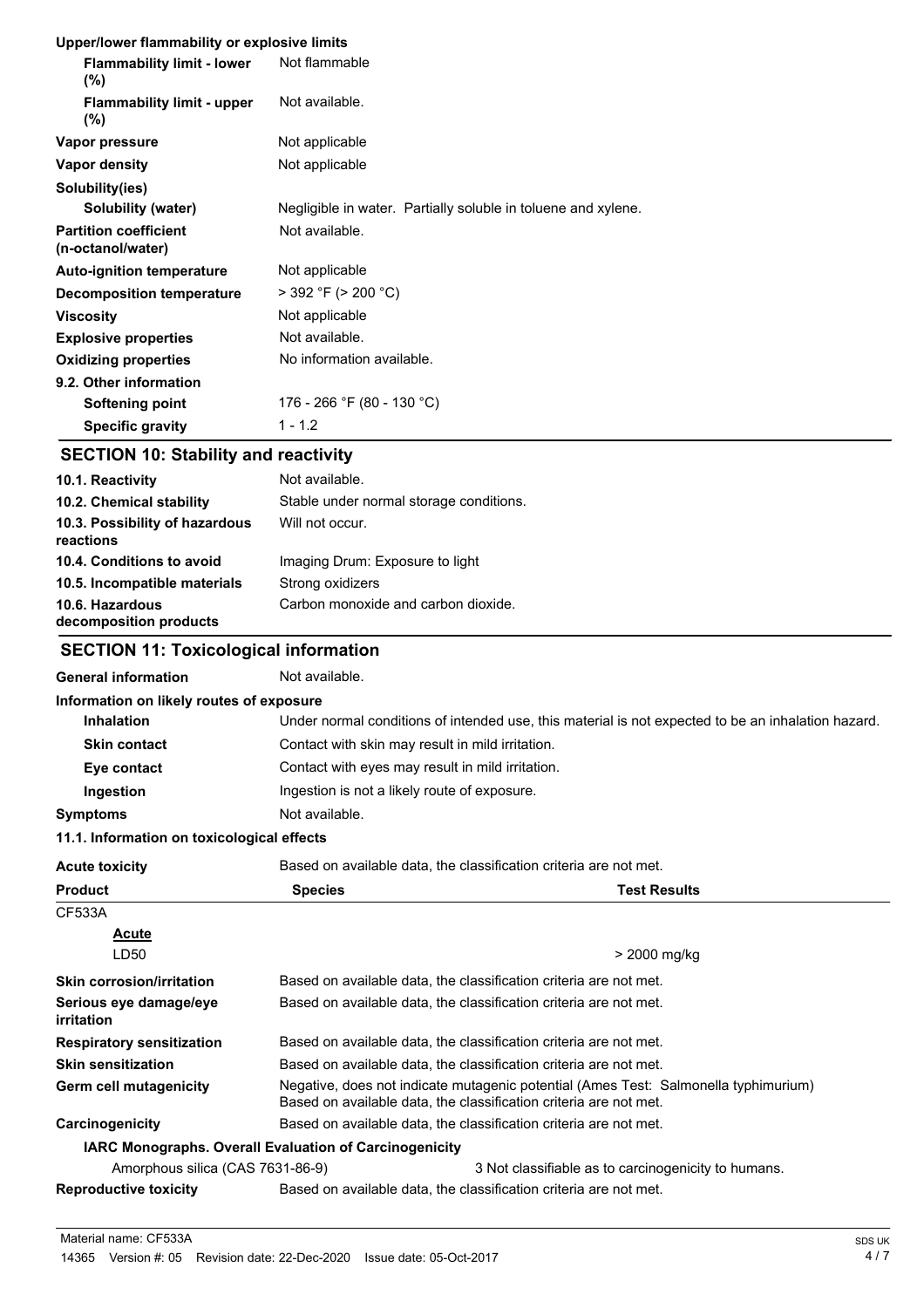|  |  | Upper/lower flammability or explosive limits |  |
|--|--|----------------------------------------------|--|
|  |  |                                              |  |

| <b>Flammability limit - lower</b><br>$(\%)$       | Not flammable                                                 |
|---------------------------------------------------|---------------------------------------------------------------|
| <b>Flammability limit - upper</b><br>$(\% )$      | Not available.                                                |
| Vapor pressure                                    | Not applicable                                                |
| Vapor density                                     | Not applicable                                                |
| Solubility(ies)                                   |                                                               |
| Solubility (water)                                | Negligible in water. Partially soluble in toluene and xylene. |
| <b>Partition coefficient</b><br>(n-octanol/water) | Not available.                                                |
| <b>Auto-ignition temperature</b>                  | Not applicable                                                |
| <b>Decomposition temperature</b>                  | $>$ 392 °F ( $>$ 200 °C)                                      |
| <b>Viscosity</b>                                  | Not applicable                                                |
| <b>Explosive properties</b>                       | Not available.                                                |
| <b>Oxidizing properties</b>                       | No information available.                                     |
| 9.2. Other information                            |                                                               |
| Softening point                                   | 176 - 266 °F (80 - 130 °C)                                    |
| <b>Specific gravity</b>                           | $1 - 1.2$                                                     |

# **SECTION 10: Stability and reactivity**

| 10.1. Reactivity                            | Not available.                          |
|---------------------------------------------|-----------------------------------------|
| 10.2. Chemical stability                    | Stable under normal storage conditions. |
| 10.3. Possibility of hazardous<br>reactions | Will not occur.                         |
| 10.4. Conditions to avoid                   | Imaging Drum: Exposure to light         |
| 10.5. Incompatible materials                | Strong oxidizers                        |
| 10.6. Hazardous<br>decomposition products   | Carbon monoxide and carbon dioxide.     |

# **SECTION 11: Toxicological information**

| <b>General information</b> | Not available. |
|----------------------------|----------------|
|----------------------------|----------------|

| Under normal conditions of intended use, this material is not expected to be an inhalation hazard.<br><b>Inhalation</b><br>Contact with skin may result in mild irritation.<br><b>Skin contact</b><br>Contact with eyes may result in mild irritation.<br>Eye contact<br>Ingestion is not a likely route of exposure.<br>Ingestion<br>Not available.<br>11.1. Information on toxicological effects<br>Based on available data, the classification criteria are not met.<br><b>Test Results</b><br><b>Species</b><br>Acute<br>LD50<br>> 2000 mg/kg<br>Based on available data, the classification criteria are not met.<br>Based on available data, the classification criteria are not met.<br>Based on available data, the classification criteria are not met.<br>Based on available data, the classification criteria are not met.<br>Negative, does not indicate mutagenic potential (Ames Test: Salmonella typhimurium)<br>Based on available data, the classification criteria are not met.<br>Based on available data, the classification criteria are not met.<br><b>IARC Monographs. Overall Evaluation of Carcinogenicity</b><br>Amorphous silica (CAS 7631-86-9)<br>3 Not classifiable as to carcinogenicity to humans.<br>Based on available data, the classification criteria are not met. | Information on likely routes of exposure |  |  |
|---------------------------------------------------------------------------------------------------------------------------------------------------------------------------------------------------------------------------------------------------------------------------------------------------------------------------------------------------------------------------------------------------------------------------------------------------------------------------------------------------------------------------------------------------------------------------------------------------------------------------------------------------------------------------------------------------------------------------------------------------------------------------------------------------------------------------------------------------------------------------------------------------------------------------------------------------------------------------------------------------------------------------------------------------------------------------------------------------------------------------------------------------------------------------------------------------------------------------------------------------------------------------------------------------------|------------------------------------------|--|--|
|                                                                                                                                                                                                                                                                                                                                                                                                                                                                                                                                                                                                                                                                                                                                                                                                                                                                                                                                                                                                                                                                                                                                                                                                                                                                                                         |                                          |  |  |
|                                                                                                                                                                                                                                                                                                                                                                                                                                                                                                                                                                                                                                                                                                                                                                                                                                                                                                                                                                                                                                                                                                                                                                                                                                                                                                         |                                          |  |  |
|                                                                                                                                                                                                                                                                                                                                                                                                                                                                                                                                                                                                                                                                                                                                                                                                                                                                                                                                                                                                                                                                                                                                                                                                                                                                                                         |                                          |  |  |
|                                                                                                                                                                                                                                                                                                                                                                                                                                                                                                                                                                                                                                                                                                                                                                                                                                                                                                                                                                                                                                                                                                                                                                                                                                                                                                         |                                          |  |  |
|                                                                                                                                                                                                                                                                                                                                                                                                                                                                                                                                                                                                                                                                                                                                                                                                                                                                                                                                                                                                                                                                                                                                                                                                                                                                                                         | <b>Symptoms</b>                          |  |  |
|                                                                                                                                                                                                                                                                                                                                                                                                                                                                                                                                                                                                                                                                                                                                                                                                                                                                                                                                                                                                                                                                                                                                                                                                                                                                                                         |                                          |  |  |
|                                                                                                                                                                                                                                                                                                                                                                                                                                                                                                                                                                                                                                                                                                                                                                                                                                                                                                                                                                                                                                                                                                                                                                                                                                                                                                         | <b>Acute toxicity</b>                    |  |  |
|                                                                                                                                                                                                                                                                                                                                                                                                                                                                                                                                                                                                                                                                                                                                                                                                                                                                                                                                                                                                                                                                                                                                                                                                                                                                                                         | <b>Product</b>                           |  |  |
|                                                                                                                                                                                                                                                                                                                                                                                                                                                                                                                                                                                                                                                                                                                                                                                                                                                                                                                                                                                                                                                                                                                                                                                                                                                                                                         | CF533A                                   |  |  |
|                                                                                                                                                                                                                                                                                                                                                                                                                                                                                                                                                                                                                                                                                                                                                                                                                                                                                                                                                                                                                                                                                                                                                                                                                                                                                                         |                                          |  |  |
|                                                                                                                                                                                                                                                                                                                                                                                                                                                                                                                                                                                                                                                                                                                                                                                                                                                                                                                                                                                                                                                                                                                                                                                                                                                                                                         |                                          |  |  |
|                                                                                                                                                                                                                                                                                                                                                                                                                                                                                                                                                                                                                                                                                                                                                                                                                                                                                                                                                                                                                                                                                                                                                                                                                                                                                                         | <b>Skin corrosion/irritation</b>         |  |  |
|                                                                                                                                                                                                                                                                                                                                                                                                                                                                                                                                                                                                                                                                                                                                                                                                                                                                                                                                                                                                                                                                                                                                                                                                                                                                                                         | Serious eye damage/eye<br>irritation     |  |  |
|                                                                                                                                                                                                                                                                                                                                                                                                                                                                                                                                                                                                                                                                                                                                                                                                                                                                                                                                                                                                                                                                                                                                                                                                                                                                                                         | <b>Respiratory sensitization</b>         |  |  |
|                                                                                                                                                                                                                                                                                                                                                                                                                                                                                                                                                                                                                                                                                                                                                                                                                                                                                                                                                                                                                                                                                                                                                                                                                                                                                                         | <b>Skin sensitization</b>                |  |  |
|                                                                                                                                                                                                                                                                                                                                                                                                                                                                                                                                                                                                                                                                                                                                                                                                                                                                                                                                                                                                                                                                                                                                                                                                                                                                                                         | Germ cell mutagenicity                   |  |  |
|                                                                                                                                                                                                                                                                                                                                                                                                                                                                                                                                                                                                                                                                                                                                                                                                                                                                                                                                                                                                                                                                                                                                                                                                                                                                                                         | Carcinogenicity                          |  |  |
|                                                                                                                                                                                                                                                                                                                                                                                                                                                                                                                                                                                                                                                                                                                                                                                                                                                                                                                                                                                                                                                                                                                                                                                                                                                                                                         |                                          |  |  |
|                                                                                                                                                                                                                                                                                                                                                                                                                                                                                                                                                                                                                                                                                                                                                                                                                                                                                                                                                                                                                                                                                                                                                                                                                                                                                                         |                                          |  |  |
|                                                                                                                                                                                                                                                                                                                                                                                                                                                                                                                                                                                                                                                                                                                                                                                                                                                                                                                                                                                                                                                                                                                                                                                                                                                                                                         | <b>Reproductive toxicity</b>             |  |  |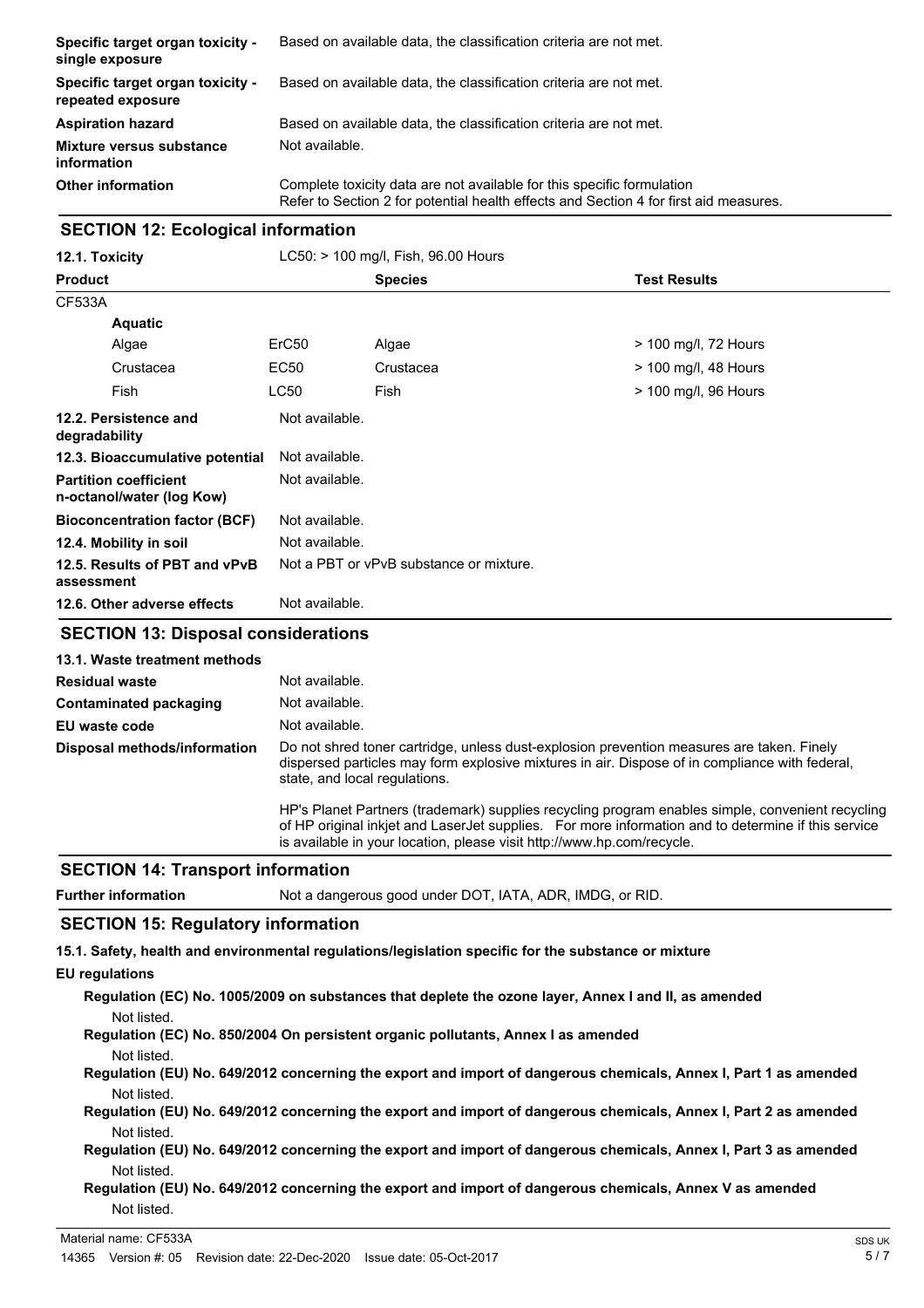| Specific target organ toxicity -<br>single exposure   | Based on available data, the classification criteria are not met.                                                                                               |
|-------------------------------------------------------|-----------------------------------------------------------------------------------------------------------------------------------------------------------------|
| Specific target organ toxicity -<br>repeated exposure | Based on available data, the classification criteria are not met.                                                                                               |
| <b>Aspiration hazard</b>                              | Based on available data, the classification criteria are not met.                                                                                               |
| <b>Mixture versus substance</b><br>information        | Not available.                                                                                                                                                  |
| <b>Other information</b>                              | Complete toxicity data are not available for this specific formulation<br>Refer to Section 2 for potential health effects and Section 4 for first aid measures. |

### **SECTION 12: Ecological information**

|                                 | <b>Species</b> | <b>Test Results</b>                                                                                                                                                                        |  |
|---------------------------------|----------------|--------------------------------------------------------------------------------------------------------------------------------------------------------------------------------------------|--|
|                                 |                |                                                                                                                                                                                            |  |
|                                 |                |                                                                                                                                                                                            |  |
| ErC <sub>50</sub>               | Algae          | $>$ 100 mg/l, 72 Hours                                                                                                                                                                     |  |
| EC50                            | Crustacea      | $>$ 100 mg/l, 48 Hours                                                                                                                                                                     |  |
| <b>LC50</b>                     | Fish           | > 100 mg/l, 96 Hours                                                                                                                                                                       |  |
|                                 |                |                                                                                                                                                                                            |  |
| 12.3. Bioaccumulative potential |                |                                                                                                                                                                                            |  |
|                                 |                |                                                                                                                                                                                            |  |
|                                 |                |                                                                                                                                                                                            |  |
|                                 |                |                                                                                                                                                                                            |  |
|                                 |                |                                                                                                                                                                                            |  |
|                                 |                |                                                                                                                                                                                            |  |
|                                 |                | Not available.<br>Not available.<br>Not available.<br>Not available.<br>Not available.<br>Not a PBT or vPvB substance or mixture.<br>Not available.<br>CECTION 49. Disposal considerations |  |

### **SECTION 13: Disposal considerations**

| 13.1. Waste treatment methods |                                                                                                                                                                                                                                                                                  |
|-------------------------------|----------------------------------------------------------------------------------------------------------------------------------------------------------------------------------------------------------------------------------------------------------------------------------|
| <b>Residual waste</b>         | Not available.                                                                                                                                                                                                                                                                   |
| Contaminated packaging        | Not available.                                                                                                                                                                                                                                                                   |
| EU waste code                 | Not available.                                                                                                                                                                                                                                                                   |
| Disposal methods/information  | Do not shred toner cartridge, unless dust-explosion prevention measures are taken. Finely<br>dispersed particles may form explosive mixtures in air. Dispose of in compliance with federal,<br>state, and local regulations.                                                     |
|                               | HP's Planet Partners (trademark) supplies recycling program enables simple, convenient recycling<br>of HP original inkiet and LaserJet supplies. For more information and to determine if this service<br>is available in your location, please visit http://www.hp.com/recycle. |

### **SECTION 14: Transport information**

| <b>Further information</b> | Not a dangerous good under DOT, IATA, ADR, IMDG, or RID. |
|----------------------------|----------------------------------------------------------|
|----------------------------|----------------------------------------------------------|

### **SECTION 15: Regulatory information**

**15.1. Safety, health and environmental regulations/legislation specific for the substance or mixture**

- **EU regulations**
	- **Regulation (EC) No. 1005/2009 on substances that deplete the ozone layer, Annex I and II, as amended** Not listed.

**Regulation (EC) No. 850/2004 On persistent organic pollutants, Annex I as amended**

- Not listed.
- **Regulation (EU) No. 649/2012 concerning the export and import of dangerous chemicals, Annex I, Part 1 as amended** Not listed.
- **Regulation (EU) No. 649/2012 concerning the export and import of dangerous chemicals, Annex I, Part 2 as amended** Not listed.
- **Regulation (EU) No. 649/2012 concerning the export and import of dangerous chemicals, Annex I, Part 3 as amended** Not listed.

### **Regulation (EU) No. 649/2012 concerning the export and import of dangerous chemicals, Annex V as amended** Not listed.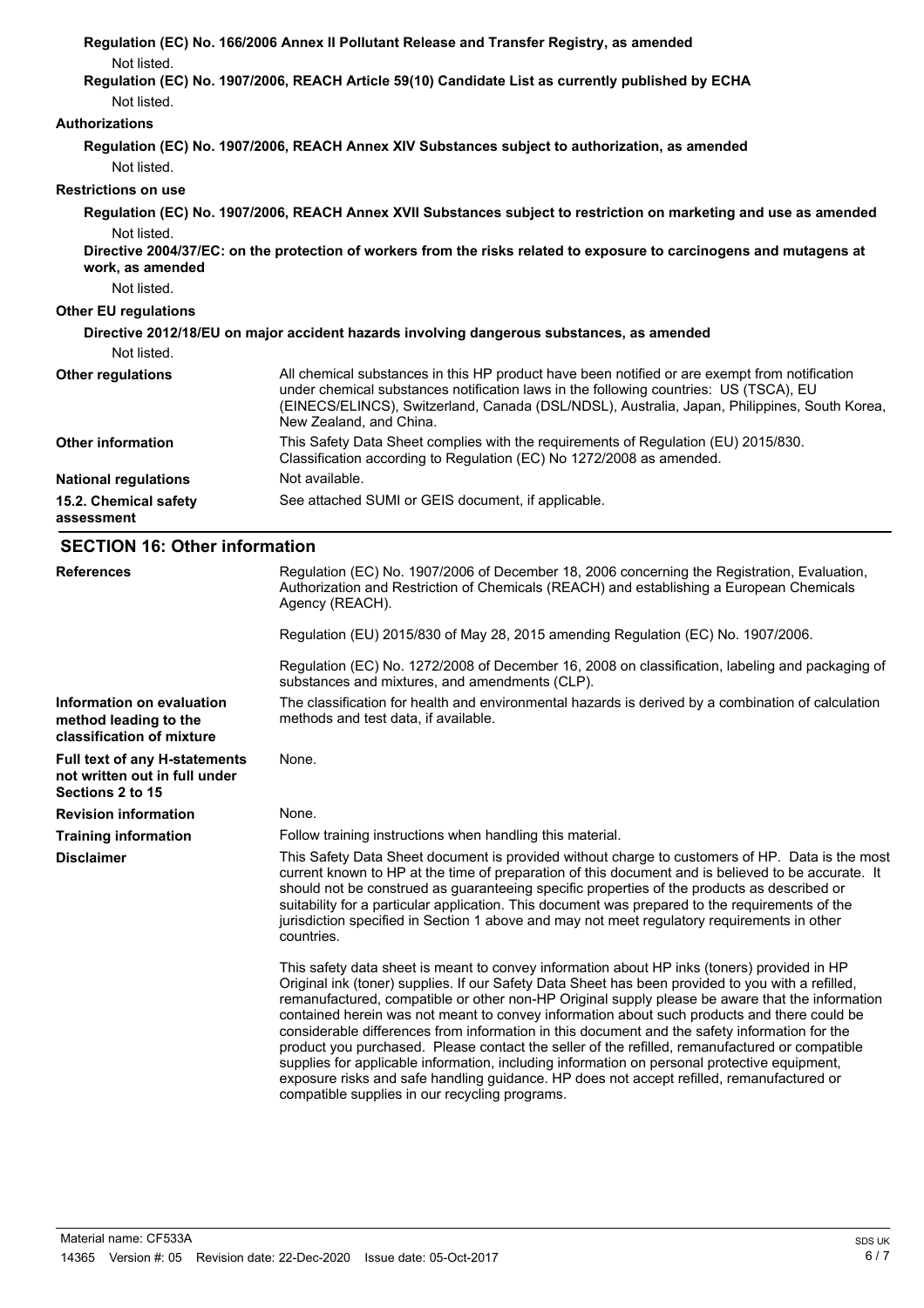|                                                                                    | Regulation (EC) No. 166/2006 Annex II Pollutant Release and Transfer Registry, as amended                                                                                                                                                                                                                                                                                                                                                                                                                                                                                                                                                                                                                                                                                                                                                            |
|------------------------------------------------------------------------------------|------------------------------------------------------------------------------------------------------------------------------------------------------------------------------------------------------------------------------------------------------------------------------------------------------------------------------------------------------------------------------------------------------------------------------------------------------------------------------------------------------------------------------------------------------------------------------------------------------------------------------------------------------------------------------------------------------------------------------------------------------------------------------------------------------------------------------------------------------|
| Not listed.                                                                        |                                                                                                                                                                                                                                                                                                                                                                                                                                                                                                                                                                                                                                                                                                                                                                                                                                                      |
| Not listed.                                                                        | Regulation (EC) No. 1907/2006, REACH Article 59(10) Candidate List as currently published by ECHA                                                                                                                                                                                                                                                                                                                                                                                                                                                                                                                                                                                                                                                                                                                                                    |
| <b>Authorizations</b>                                                              |                                                                                                                                                                                                                                                                                                                                                                                                                                                                                                                                                                                                                                                                                                                                                                                                                                                      |
|                                                                                    |                                                                                                                                                                                                                                                                                                                                                                                                                                                                                                                                                                                                                                                                                                                                                                                                                                                      |
| Not listed.                                                                        | Regulation (EC) No. 1907/2006, REACH Annex XIV Substances subject to authorization, as amended                                                                                                                                                                                                                                                                                                                                                                                                                                                                                                                                                                                                                                                                                                                                                       |
| <b>Restrictions on use</b>                                                         |                                                                                                                                                                                                                                                                                                                                                                                                                                                                                                                                                                                                                                                                                                                                                                                                                                                      |
|                                                                                    | Regulation (EC) No. 1907/2006, REACH Annex XVII Substances subject to restriction on marketing and use as amended                                                                                                                                                                                                                                                                                                                                                                                                                                                                                                                                                                                                                                                                                                                                    |
| Not listed.<br>work, as amended<br>Not listed.                                     | Directive 2004/37/EC: on the protection of workers from the risks related to exposure to carcinogens and mutagens at                                                                                                                                                                                                                                                                                                                                                                                                                                                                                                                                                                                                                                                                                                                                 |
| <b>Other EU regulations</b>                                                        |                                                                                                                                                                                                                                                                                                                                                                                                                                                                                                                                                                                                                                                                                                                                                                                                                                                      |
| Not listed.                                                                        | Directive 2012/18/EU on major accident hazards involving dangerous substances, as amended                                                                                                                                                                                                                                                                                                                                                                                                                                                                                                                                                                                                                                                                                                                                                            |
| <b>Other regulations</b>                                                           | All chemical substances in this HP product have been notified or are exempt from notification                                                                                                                                                                                                                                                                                                                                                                                                                                                                                                                                                                                                                                                                                                                                                        |
|                                                                                    | under chemical substances notification laws in the following countries: US (TSCA), EU<br>(EINECS/ELINCS), Switzerland, Canada (DSL/NDSL), Australia, Japan, Philippines, South Korea,<br>New Zealand, and China.                                                                                                                                                                                                                                                                                                                                                                                                                                                                                                                                                                                                                                     |
| <b>Other information</b>                                                           | This Safety Data Sheet complies with the requirements of Regulation (EU) 2015/830.<br>Classification according to Regulation (EC) No 1272/2008 as amended.                                                                                                                                                                                                                                                                                                                                                                                                                                                                                                                                                                                                                                                                                           |
| <b>National regulations</b>                                                        | Not available.                                                                                                                                                                                                                                                                                                                                                                                                                                                                                                                                                                                                                                                                                                                                                                                                                                       |
| 15.2. Chemical safety<br>assessment                                                | See attached SUMI or GEIS document, if applicable.                                                                                                                                                                                                                                                                                                                                                                                                                                                                                                                                                                                                                                                                                                                                                                                                   |
| <b>SECTION 16: Other information</b>                                               |                                                                                                                                                                                                                                                                                                                                                                                                                                                                                                                                                                                                                                                                                                                                                                                                                                                      |
| <b>References</b>                                                                  | Regulation (EC) No. 1907/2006 of December 18, 2006 concerning the Registration, Evaluation,<br>Authorization and Restriction of Chemicals (REACH) and establishing a European Chemicals<br>Agency (REACH).                                                                                                                                                                                                                                                                                                                                                                                                                                                                                                                                                                                                                                           |
|                                                                                    | Regulation (EU) 2015/830 of May 28, 2015 amending Regulation (EC) No. 1907/2006.                                                                                                                                                                                                                                                                                                                                                                                                                                                                                                                                                                                                                                                                                                                                                                     |
|                                                                                    | Regulation (EC) No. 1272/2008 of December 16, 2008 on classification, labeling and packaging of<br>substances and mixtures, and amendments (CLP).                                                                                                                                                                                                                                                                                                                                                                                                                                                                                                                                                                                                                                                                                                    |
| Information on evaluation<br>method leading to the<br>classification of mixture    | The classification for health and environmental hazards is derived by a combination of calculation<br>methods and test data, if available.                                                                                                                                                                                                                                                                                                                                                                                                                                                                                                                                                                                                                                                                                                           |
| Full text of any H-statements<br>not written out in full under<br>Sections 2 to 15 | None.                                                                                                                                                                                                                                                                                                                                                                                                                                                                                                                                                                                                                                                                                                                                                                                                                                                |
| <b>Revision information</b>                                                        | None.                                                                                                                                                                                                                                                                                                                                                                                                                                                                                                                                                                                                                                                                                                                                                                                                                                                |
| <b>Training information</b>                                                        | Follow training instructions when handling this material.                                                                                                                                                                                                                                                                                                                                                                                                                                                                                                                                                                                                                                                                                                                                                                                            |
| <b>Disclaimer</b>                                                                  | This Safety Data Sheet document is provided without charge to customers of HP. Data is the most<br>current known to HP at the time of preparation of this document and is believed to be accurate. It<br>should not be construed as guaranteeing specific properties of the products as described or<br>suitability for a particular application. This document was prepared to the requirements of the<br>jurisdiction specified in Section 1 above and may not meet regulatory requirements in other<br>countries.                                                                                                                                                                                                                                                                                                                                 |
|                                                                                    | This safety data sheet is meant to convey information about HP inks (toners) provided in HP<br>Original ink (toner) supplies. If our Safety Data Sheet has been provided to you with a refilled,<br>remanufactured, compatible or other non-HP Original supply please be aware that the information<br>contained herein was not meant to convey information about such products and there could be<br>considerable differences from information in this document and the safety information for the<br>product you purchased. Please contact the seller of the refilled, remanufactured or compatible<br>supplies for applicable information, including information on personal protective equipment,<br>exposure risks and safe handling guidance. HP does not accept refilled, remanufactured or<br>compatible supplies in our recycling programs. |